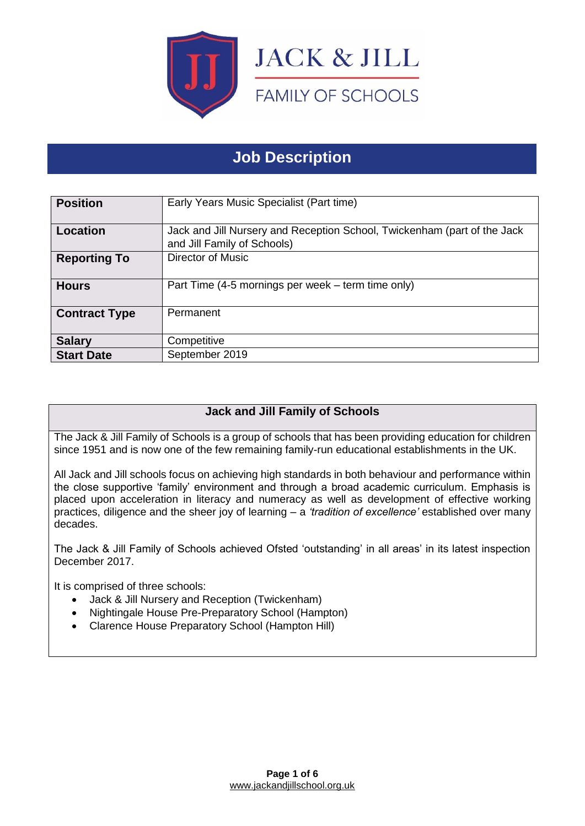

# **Job Description**

| <b>Position</b>      | Early Years Music Specialist (Part time)                                                                |
|----------------------|---------------------------------------------------------------------------------------------------------|
| <b>Location</b>      | Jack and Jill Nursery and Reception School, Twickenham (part of the Jack<br>and Jill Family of Schools) |
| <b>Reporting To</b>  | Director of Music                                                                                       |
| <b>Hours</b>         | Part Time (4-5 mornings per week – term time only)                                                      |
| <b>Contract Type</b> | Permanent                                                                                               |
| <b>Salary</b>        | Competitive                                                                                             |
| <b>Start Date</b>    | September 2019                                                                                          |

## **Jack and Jill Family of Schools**

The Jack & Jill Family of Schools is a group of schools that has been providing education for children since 1951 and is now one of the few remaining family-run educational establishments in the UK.

All Jack and Jill schools focus on achieving high standards in both behaviour and performance within the close supportive 'family' environment and through a broad academic curriculum. Emphasis is placed upon acceleration in literacy and numeracy as well as development of effective working practices, diligence and the sheer joy of learning – a *'tradition of excellence'* established over many decades.

The Jack & Jill Family of Schools achieved Ofsted 'outstanding' in all areas' in its latest inspection December 2017.

It is comprised of three schools:

- Jack & Jill Nursery and Reception (Twickenham)
- Nightingale House Pre-Preparatory School (Hampton)
- Clarence House Preparatory School (Hampton Hill)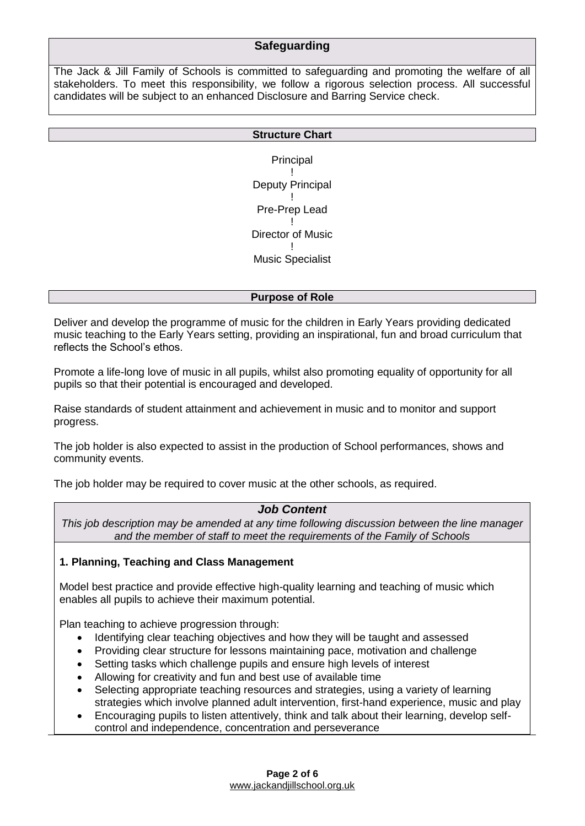## **Safeguarding**

The Jack & Jill Family of Schools is committed to safeguarding and promoting the welfare of all stakeholders. To meet this responsibility, we follow a rigorous selection process. All successful candidates will be subject to an enhanced Disclosure and Barring Service check.

#### **Structure Chart**

Principal ! Deputy Principal ! Pre-Prep Lead ! Director of Music ! Music Specialist

#### **Purpose of Role**

Deliver and develop the programme of music for the children in Early Years providing dedicated music teaching to the Early Years setting, providing an inspirational, fun and broad curriculum that reflects the School's ethos.

Promote a life-long love of music in all pupils, whilst also promoting equality of opportunity for all pupils so that their potential is encouraged and developed.

Raise standards of student attainment and achievement in music and to monitor and support progress.

The job holder is also expected to assist in the production of School performances, shows and community events.

The job holder may be required to cover music at the other schools, as required.

#### *Job Content*

*This job description may be amended at any time following discussion between the line manager and the member of staff to meet the requirements of the Family of Schools*

#### **1. Planning, Teaching and Class Management**

Model best practice and provide effective high-quality learning and teaching of music which enables all pupils to achieve their maximum potential.

Plan teaching to achieve progression through:

- Identifying clear teaching objectives and how they will be taught and assessed
- Providing clear structure for lessons maintaining pace, motivation and challenge
- Setting tasks which challenge pupils and ensure high levels of interest
- Allowing for creativity and fun and best use of available time
- Selecting appropriate teaching resources and strategies, using a variety of learning strategies which involve planned adult intervention, first-hand experience, music and play
- Encouraging pupils to listen attentively, think and talk about their learning, develop selfcontrol and independence, concentration and perseverance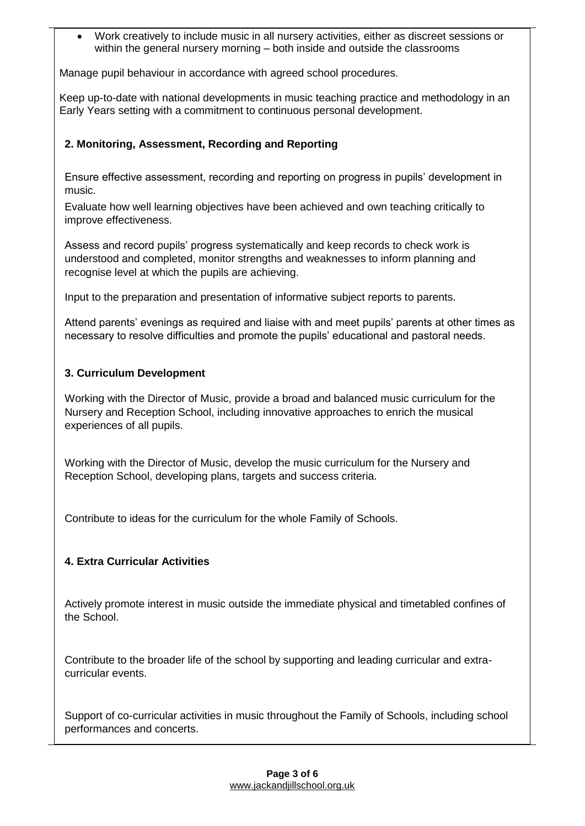• Work creatively to include music in all nursery activities, either as discreet sessions or within the general nursery morning – both inside and outside the classrooms

Manage pupil behaviour in accordance with agreed school procedures.

Keep up-to-date with national developments in music teaching practice and methodology in an Early Years setting with a commitment to continuous personal development.

## **2. Monitoring, Assessment, Recording and Reporting**

Ensure effective assessment, recording and reporting on progress in pupils' development in music.

Evaluate how well learning objectives have been achieved and own teaching critically to improve effectiveness.

Assess and record pupils' progress systematically and keep records to check work is understood and completed, monitor strengths and weaknesses to inform planning and recognise level at which the pupils are achieving.

Input to the preparation and presentation of informative subject reports to parents.

Attend parents' evenings as required and liaise with and meet pupils' parents at other times as necessary to resolve difficulties and promote the pupils' educational and pastoral needs.

## **3. Curriculum Development**

Working with the Director of Music, provide a broad and balanced music curriculum for the Nursery and Reception School, including innovative approaches to enrich the musical experiences of all pupils.

Working with the Director of Music, develop the music curriculum for the Nursery and Reception School, developing plans, targets and success criteria.

Contribute to ideas for the curriculum for the whole Family of Schools.

## **4. Extra Curricular Activities**

Actively promote interest in music outside the immediate physical and timetabled confines of the School.

Contribute to the broader life of the school by supporting and leading curricular and extracurricular events.

Support of co-curricular activities in music throughout the Family of Schools, including school performances and concerts.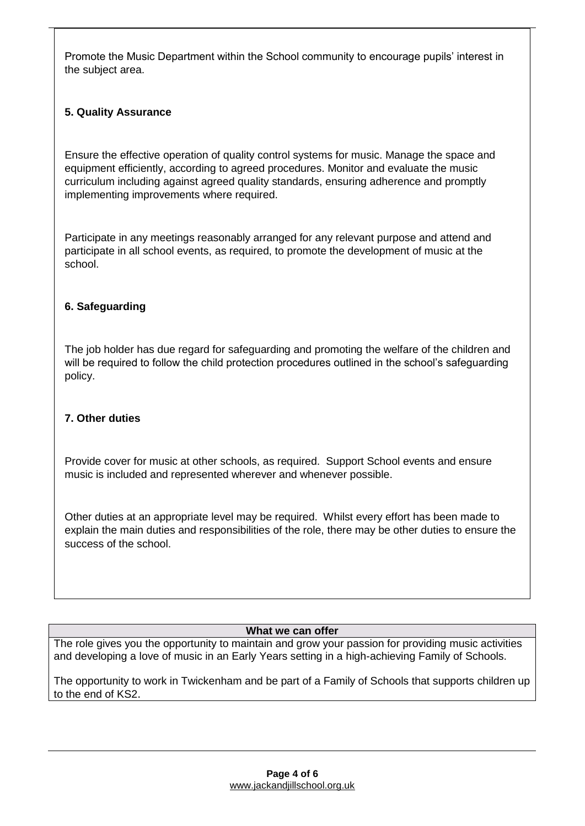Promote the Music Department within the School community to encourage pupils' interest in the subject area.

## **5. Quality Assurance**

Ensure the effective operation of quality control systems for music. Manage the space and equipment efficiently, according to agreed procedures. Monitor and evaluate the music curriculum including against agreed quality standards, ensuring adherence and promptly implementing improvements where required.

Participate in any meetings reasonably arranged for any relevant purpose and attend and participate in all school events, as required, to promote the development of music at the school.

## **6. Safeguarding**

The job holder has due regard for safeguarding and promoting the welfare of the children and will be required to follow the child protection procedures outlined in the school's safeguarding policy.

#### **7. Other duties**

Provide cover for music at other schools, as required. Support School events and ensure music is included and represented wherever and whenever possible.

Other duties at an appropriate level may be required. Whilst every effort has been made to explain the main duties and responsibilities of the role, there may be other duties to ensure the success of the school.

#### **What we can offer**

The role gives you the opportunity to maintain and grow your passion for providing music activities and developing a love of music in an Early Years setting in a high-achieving Family of Schools.

The opportunity to work in Twickenham and be part of a Family of Schools that supports children up to the end of KS2.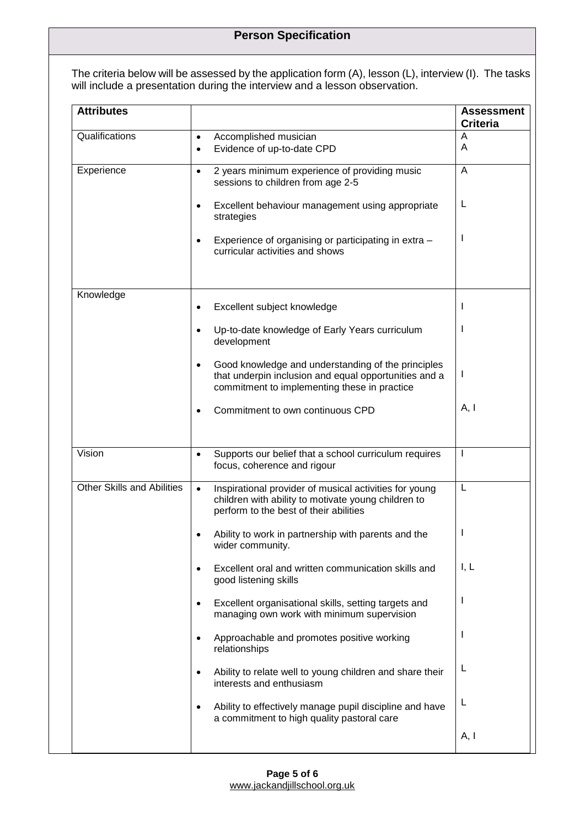The criteria below will be assessed by the application form (A), lesson (L), interview (I). The tasks will include a presentation during the interview and a lesson observation.

| <b>Attributes</b>                 |                                                                                                                                                                          | <b>Assessment</b><br><b>Criteria</b> |
|-----------------------------------|--------------------------------------------------------------------------------------------------------------------------------------------------------------------------|--------------------------------------|
| Qualifications                    | Accomplished musician<br>$\bullet$<br>Evidence of up-to-date CPD<br>$\bullet$                                                                                            | A<br>A                               |
| Experience                        | 2 years minimum experience of providing music<br>$\bullet$<br>sessions to children from age 2-5                                                                          | A                                    |
|                                   | Excellent behaviour management using appropriate<br>$\bullet$<br>strategies                                                                                              | L                                    |
|                                   | Experience of organising or participating in extra -<br>٠<br>curricular activities and shows                                                                             | $\mathbf{I}$                         |
| Knowledge                         | Excellent subject knowledge<br>٠                                                                                                                                         | $\mathbf{I}$                         |
|                                   | Up-to-date knowledge of Early Years curriculum<br>٠<br>development                                                                                                       | $\mathbf{I}$                         |
|                                   | Good knowledge and understanding of the principles<br>$\bullet$<br>that underpin inclusion and equal opportunities and a<br>commitment to implementing these in practice | $\mathbf{I}$                         |
|                                   | Commitment to own continuous CPD<br>٠                                                                                                                                    | A, I                                 |
| Vision                            | Supports our belief that a school curriculum requires<br>$\bullet$<br>focus, coherence and rigour                                                                        | $\mathbf{I}$                         |
| <b>Other Skills and Abilities</b> | Inspirational provider of musical activities for young<br>$\bullet$<br>children with ability to motivate young children to<br>perform to the best of their abilities     | L                                    |
|                                   | Ability to work in partnership with parents and the<br>wider community.                                                                                                  | ı                                    |
|                                   | Excellent oral and written communication skills and<br>$\bullet$<br>good listening skills                                                                                | I, L                                 |
|                                   | Excellent organisational skills, setting targets and<br>$\bullet$<br>managing own work with minimum supervision                                                          | $\mathbf{I}$                         |
|                                   | Approachable and promotes positive working<br>٠<br>relationships                                                                                                         | I.                                   |
|                                   | Ability to relate well to young children and share their<br>interests and enthusiasm                                                                                     | L                                    |
|                                   | Ability to effectively manage pupil discipline and have<br>٠<br>a commitment to high quality pastoral care                                                               | L                                    |
|                                   |                                                                                                                                                                          | A, I                                 |